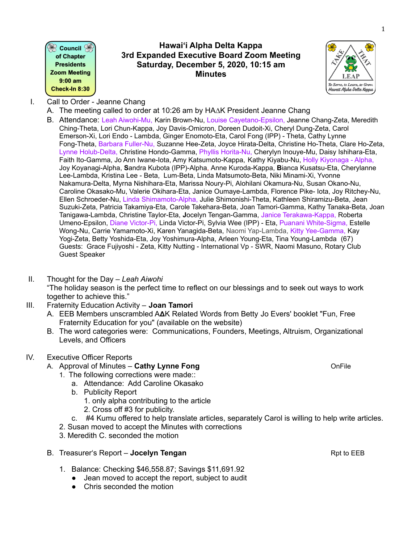$\mathbin{\widehat{\otimes}}$  Council  $\mathbin{\widehat{\otimes}}$ of Chapter **Presidents Zoom Meeting**  $9:00$  am Check-In 8:30

## **Hawaiʻi Alpha Delta Kappa 3rd Expanded Executive Board Zoom Meeting Saturday, December 5, 2020, 10:15 am Minutes**



- I. Call to Order Jeanne Chang
	- A. The meeting called to order at 10:26 am by HA∆K President Jeanne Chang
	- B. Attendance: Leah Aiwohi-Mu, Karin Brown-Nu, Louise Cayetano-Epsilon, Jeanne Chang-Zeta, Meredith Ching-Theta, Lori Chun-Kappa, Joy Davis-Omicron, Doreen Dudoit-Xi, Cheryl Dung-Zeta, Carol Emerson-Xi, Lori Endo - Lambda, Ginger Enomoto-Eta, Carol Fong (IPP) - Theta, Cathy Lynne Fong-Theta, Barbara Fuller-Nu, Suzanne Hee-Zeta, Joyce Hirata-Delta, Christine Ho-Theta, Clare Ho-Zeta, Lynne Holub-Delta, Christine Hondo-Gamma, Phyllis Horita-Nu, Cherylyn Inouye-Mu, Daisy Ishihara-Eta, Faith Ito-Gamma, Jo Ann Iwane-Iota, Amy Katsumoto-Kappa, Kathy Kiyabu-Nu, Holly Kiyonaga - Alpha, Joy Koyanagi-Alpha, **S**andra Kubota (IPP)-Alpha, Anne Kuroda-Kappa, **B**ianca Kusatsu-Eta, Cherylanne Lee-Lambda, Kristina Lee - Beta, Lum-Beta, Linda Matsumoto-Beta, Niki Minami-Xi, Yvonne Nakamura-Delta, Myrna Nishihara-Eta, Marissa Noury-Pi, Alohilani Okamura-Nu, Susan Okano-Nu, Caroline Okasako-Mu, Valerie Okihara-Eta, Janice Oumaye-Lambda, Florence Pike- Iota, Joy Ritchey-Nu, Ellen Schroeder-Nu, Linda Shimamoto-Alpha, Julie Shimonishi-Theta, Kathleen Shiramizu-Beta, Jean Suzuki-Zeta, Patricia Takamiya-Eta, Carole Takehara-Beta, Joan Tamori-Gamma, Kathy Tanaka-Beta, Joan Tanigawa-Lambda, Christine Taylor-Eta, **J**ocelyn Tengan-Gamma, Janice Terakawa-Kappa, Roberta Umeno-Epsilon, Diane Victor-Pi, Linda Victor-Pi, Sylvia Wee (IPP) - Eta, Puanani White-Sigma, Estelle Wong-Nu, Carrie Yamamoto-Xi, Karen Yanagida-Beta, Naomi Yap-Lambda, Kitty Yee-Gamma, Kay Yogi-Zeta, Betty Yoshida-Eta, Joy Yoshimura-Alpha, Arleen Young-Eta, Tina Young-Lambda (67) Guests: Grace Fujiyoshi - Zeta, Kitty Nutting - International Vp - SWR, Naomi Masuno, Rotary Club Guest Speaker
- II. Thought for the Day *Leah Aiwohi*

"The holiday season is the perfect time to reflect on our blessings and to seek out ways to work together to achieve this."

- III. Fraternity Education Activity **Joan Tamori**
	- A. EEB Members unscrambled AAK Related Words from Betty Jo Evers' booklet "Fun, Free Fraternity Education for you" (available on the website)
	- B. The word categories were: Communications, Founders, Meetings, Altruism, Organizational Levels, and Officers

# IV. Executive Officer Reports

- A. Approval of Minutes **Cathy Lynne Fong** OnFile
	- 1. The following corrections were made::
		- a. Attendance: Add Caroline Okasako
		- b. Publicity Report
			- 1. only alpha contributing to the article
			- 2. Cross off #3 for publicity.
	- c. #4 Kumu offered to help translate articles, separately Carol is willing to help write articles.
	- 2. Susan moved to accept the Minutes with corrections
	- 3. Meredith C. seconded the motion
- B. Treasurer's Report **Jocelyn Tengan** Report **Report 4 Stream Report Figure 2 Stream Report** Report **Figure 2 Stream Report** Association Report of EEB
	- 1. Balance: Checking \$46,558.87; Savings \$11,691.92
		- Jean moved to accept the report, subject to audit
		- Chris seconded the motion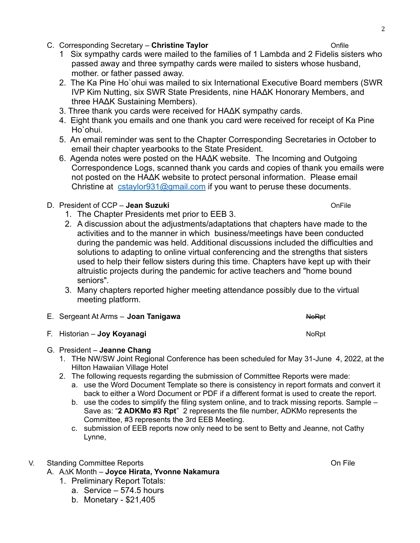- C. Corresponding Secretary **Christine Taylor** Onfile
	- 1 Six sympathy cards were mailed to the families of 1 Lambda and 2 Fidelis sisters who passed away and three sympathy cards were mailed to sisters whose husband, mother. or father passed away.
	- 2. The Ka Pine Ho`ohui was mailed to six International Executive Board members (SWR IVP Kim Nutting, six SWR State Presidents, nine HAΔK Honorary Members, and three HAΔK Sustaining Members).
	- 3. Three thank you cards were received for HAΔK sympathy cards.
	- 4. Eight thank you emails and one thank you card were received for receipt of Ka Pine Ho`ohui.
	- 5. An email reminder was sent to the Chapter Corresponding Secretaries in October to email their chapter yearbooks to the State President.
	- 6. Agenda notes were posted on the HAΔK website. The Incoming and Outgoing Correspondence Logs, scanned thank you cards and copies of thank you emails were not posted on the HAΔK website to protect personal information. Please email Christine at  $c_{\text{stay} \mid \text{or} 931 \text{@gmail.com}}$  if you want to peruse these documents.

# D. President of CCP – **Jean Suzuki COP – COP – COP**

- 1. The Chapter Presidents met prior to EEB 3.
- 2. A discussion about the adjustments/adaptations that chapters have made to the activities and to the manner in which business/meetings have been conducted during the pandemic was held. Additional discussions included the difficulties and solutions to adapting to online virtual conferencing and the strengths that sisters used to help their fellow sisters during this time. Chapters have kept up with their altruistic projects during the pandemic for active teachers and "home bound seniors".
- 3. Many chapters reported higher meeting attendance possibly due to the virtual meeting platform.

| E. Sergeant At Arms - Joan Tanigawa | <b>NoRpt</b> |
|-------------------------------------|--------------|
|                                     |              |

- **F. Historian Joy Koyanagi** North Charles and Charles North North North North North North North North North North North North North North North North North North North North North North North North North North North Nort
- G. President **Jeanne Chang**
	- 1. THe NW/SW Joint Regional Conference has been scheduled for May 31-June 4, 2022, at the Hilton Hawaiian Village Hotel
	- 2. The following requests regarding the submission of Committee Reports were made:
		- a. use the Word Document Template so there is consistency in report formats and convert it back to either a Word Document or PDF if a different format is used to create the report.
		- b. use the codes to simplify the filing system online, and to track missing reports. Sample Save as: "**2 ADKMo #3 Rpt**" 2 represents the file number, ADKMo represents the Committee, #3 represents the 3rd EEB Meeting.
		- c. submission of EEB reports now only need to be sent to Betty and Jeanne, not Cathy Lynne,

# V. Standing Committee Reports **Committee Reports** Committee Reports Committee Reports Committee Reports Committee Reports Committee Reports Committee Reports Committee Reports Committee Reports Committee Reports Committee

# A. A∆K Month – **Joyce Hirata, Yvonne Nakamura**

- 1. Preliminary Report Totals:
	- a. Service 574.5 hours
	- b. Monetary \$21,405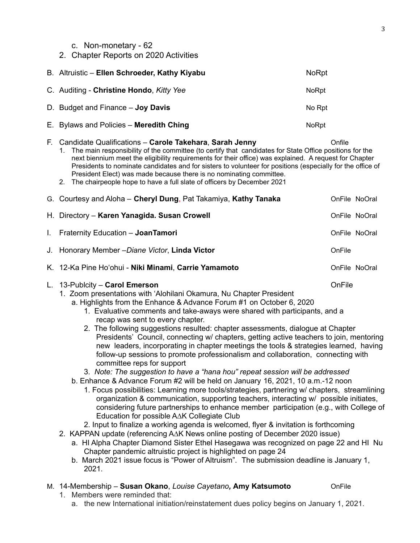## c. Non-monetary - 62

2. Chapter Reports on 2020 Activities

|    | B. Altruistic - Ellen Schroeder, Kathy Kiyabu                                                                                                                                                                                                                                                                                                                                                                                                                                                                                                                                                                                                                                                                                                                                                                                                                                                                                                                                                                                                                                                                                                                                                                                                                                                   | <b>NoRpt</b>  |  |
|----|-------------------------------------------------------------------------------------------------------------------------------------------------------------------------------------------------------------------------------------------------------------------------------------------------------------------------------------------------------------------------------------------------------------------------------------------------------------------------------------------------------------------------------------------------------------------------------------------------------------------------------------------------------------------------------------------------------------------------------------------------------------------------------------------------------------------------------------------------------------------------------------------------------------------------------------------------------------------------------------------------------------------------------------------------------------------------------------------------------------------------------------------------------------------------------------------------------------------------------------------------------------------------------------------------|---------------|--|
|    | C. Auditing - Christine Hondo, Kitty Yee                                                                                                                                                                                                                                                                                                                                                                                                                                                                                                                                                                                                                                                                                                                                                                                                                                                                                                                                                                                                                                                                                                                                                                                                                                                        | <b>NoRpt</b>  |  |
|    | D. Budget and Finance - Joy Davis                                                                                                                                                                                                                                                                                                                                                                                                                                                                                                                                                                                                                                                                                                                                                                                                                                                                                                                                                                                                                                                                                                                                                                                                                                                               | No Rpt        |  |
|    | E. Bylaws and Policies - Meredith Ching                                                                                                                                                                                                                                                                                                                                                                                                                                                                                                                                                                                                                                                                                                                                                                                                                                                                                                                                                                                                                                                                                                                                                                                                                                                         | <b>NoRpt</b>  |  |
|    | F. Candidate Qualifications - Carole Takehara, Sarah Jenny<br>Onfile<br>1. The main responsibility of the committee (to certify that candidates for State Office positions for the<br>next biennium meet the eligibility requirements for their office) was explained. A request for Chapter<br>Presidents to nominate candidates and for sisters to volunteer for positions (especially for the office of<br>President Elect) was made because there is no nominating committee.<br>2. The chairpeople hope to have a full slate of officers by December 2021                                                                                                                                                                                                                                                                                                                                                                                                                                                                                                                                                                                                                                                                                                                                  |               |  |
|    | G. Courtesy and Aloha - Cheryl Dung, Pat Takamiya, Kathy Tanaka                                                                                                                                                                                                                                                                                                                                                                                                                                                                                                                                                                                                                                                                                                                                                                                                                                                                                                                                                                                                                                                                                                                                                                                                                                 | OnFile NoOral |  |
|    | H. Directory - Karen Yanagida. Susan Crowell                                                                                                                                                                                                                                                                                                                                                                                                                                                                                                                                                                                                                                                                                                                                                                                                                                                                                                                                                                                                                                                                                                                                                                                                                                                    | OnFile NoOral |  |
| L. | Fraternity Education - JoanTamori                                                                                                                                                                                                                                                                                                                                                                                                                                                                                                                                                                                                                                                                                                                                                                                                                                                                                                                                                                                                                                                                                                                                                                                                                                                               | OnFile NoOral |  |
|    | J. Honorary Member - Diane Victor, Linda Victor                                                                                                                                                                                                                                                                                                                                                                                                                                                                                                                                                                                                                                                                                                                                                                                                                                                                                                                                                                                                                                                                                                                                                                                                                                                 | OnFile        |  |
|    | K. 12-Ka Pine Ho'ohui - Niki Minami, Carrie Yamamoto                                                                                                                                                                                                                                                                                                                                                                                                                                                                                                                                                                                                                                                                                                                                                                                                                                                                                                                                                                                                                                                                                                                                                                                                                                            | OnFile NoOral |  |
|    | OnFile<br>L. 13-Publcity - Carol Emerson<br>1. Zoom presentations with 'Alohilani Okamura, Nu Chapter President<br>a. Highlights from the Enhance & Advance Forum #1 on October 6, 2020<br>1. Evaluative comments and take-aways were shared with participants, and a<br>recap was sent to every chapter.<br>2. The following suggestions resulted: chapter assessments, dialogue at Chapter<br>Presidents' Council, connecting w/ chapters, getting active teachers to join, mentoring<br>new leaders, incorporating in chapter meetings the tools & strategies learned, having<br>follow-up sessions to promote professionalism and collaboration, connecting with<br>committee reps for support<br>3. Note: The suggestion to have a "hana hou" repeat session will be addressed<br>b. Enhance & Advance Forum #2 will be held on January 16, 2021, 10 a.m.-12 noon<br>1. Focus possibilities: Learning more tools/strategies, partnering w/ chapters, streamlining<br>organization & communication, supporting teachers, interacting w/ possible initiates,<br>considering future partnerships to enhance member participation (e.g., with College of<br>Education for possible AAK Collegiate Club<br>2. Input to finalize a working agenda is welcomed, flyer & invitation is forthcoming |               |  |
|    | 2. KAPPAN update (referencing AAK News online posting of December 2020 issue)<br>a. HI Alpha Chapter Diamond Sister Ethel Hasegawa was recognized on page 22 and HI Nu                                                                                                                                                                                                                                                                                                                                                                                                                                                                                                                                                                                                                                                                                                                                                                                                                                                                                                                                                                                                                                                                                                                          |               |  |

Chapter pandemic altruistic project is highlighted on page 24 b. March 2021 issue focus is "Power of Altruism". The submission deadline is January 1, 2021.

#### M. 14-Membership – **Susan Okano**, *Louise Cayetano,* **Amy Katsumoto** OnFile 1. Members were reminded that:

- 
- a. the new International initiation/reinstatement dues policy begins on January 1, 2021.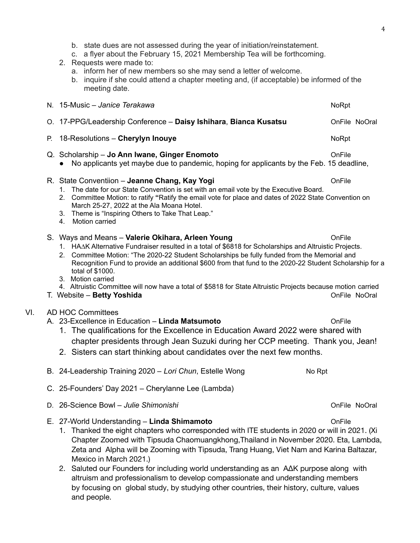- b. state dues are not assessed during the year of initiation/reinstatement.
- c. a flyer about the February 15, 2021 Membership Tea will be forthcoming.
- 2. Requests were made to:
	- a. inform her of new members so she may send a letter of welcome.
	- b. inquire if she could attend a chapter meeting and, (if acceptable) be informed of the meeting date.

O. 17-PPG/Leadership Conference – **Daisy Ishihara**, **Bianca Kusatsu** OnFile NoOral

P. 18-Resolutions – **Cherylyn Inouye** NoRpt

## Q. Scholarship – **Jo Ann Iwane, Ginger Enomoto** OnFile

● No applicants yet maybe due to pandemic, hoping for applicants by the Feb. 15 deadline,

#### R. State Conventiion – **Jeanne Chang, Kay Yogi** OnFile

- 1. The date for our State Convention is set with an email vote by the Executive Board.
- 2. Committee Motion: to ratify **"**Ratify the email vote for place and dates of 2022 State Convention on March 25-27, 2022 at the Ala Moana Hotel.
- 3. Theme is "Inspiring Others to Take That Leap."
- 4. Motion carried

#### S. Ways and Means – **Valerie Okihara, Arleen Young** OnFile

- 1. HA∆K Alternative Fundraiser resulted in a total of \$6818 for Scholarships and Altruistic Projects.
- 2. Committee Motion: "The 2020-22 Student Scholarships be fully funded from the Memorial and Recognition Fund to provide an additional \$600 from that fund to the 2020-22 Student Scholarship for a total of \$1000.
- 3. Motion carried

4. Altruistic Committee will now have a total of \$5818 for State Altruistic Projects because motion carried

T. Website – **Betty Yoshida** OnFile NoOral

### VI. AD HOC Committees

- A. 23-Excellence in Education **Linda Matsumoto** OnFile
	- 1. The qualifications for the Excellence in Education Award 2022 were shared with chapter presidents through Jean Suzuki during her CCP meeting. Thank you, Jean!
	- 2. Sisters can start thinking about candidates over the next few months.
- B. 24-Leadership Training 2020 *Lori Chun*, Estelle Wong No Rpt
- C. 25-Founders' Day 2021 Cherylanne Lee (Lambda)
- D. 26-Science Bowl *Julie Shimonishi* OnFile NoOral
- E. 27-World Understanding **Linda Shimamoto** OnFile
	- 1. Thanked the eight chapters who corresponded with ITE students in 2020 or will in 2021. (Xi Chapter Zoomed with Tipsuda Chaomuangkhong,Thailand in November 2020. Eta, Lambda, Zeta and Alpha will be Zooming with Tipsuda, Trang Huang, Viet Nam and Karina Baltazar, Mexico in March 2021.)
	- 2. Saluted our Founders for including world understanding as an A∆K purpose along with altruism and professionalism to develop compassionate and understanding members by focusing on global study, by studying other countries, their history, culture, values and people.

N. 15-Music – *Janice Terakawa* North 1999 and the *North Careline Computer* Computer Section 2008 and 1999 and 1999 and 1999 and 1999 and 1999 and 1999 and 1999 and 1999 and 1999 and 1999 and 1999 and 1999 and 1999 and 19